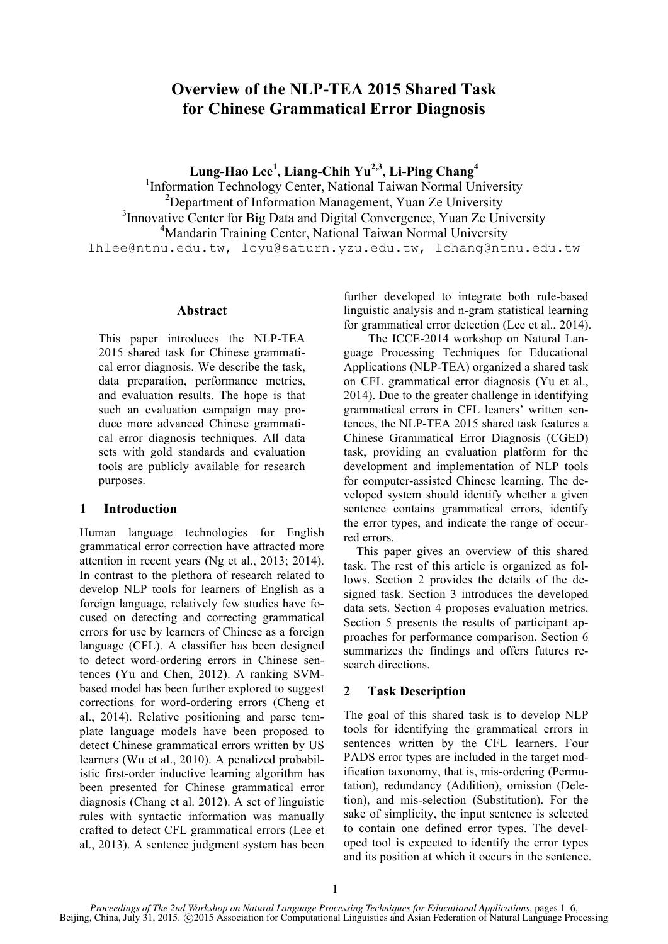# **Overview of the NLP-TEA 2015 Shared Task for Chinese Grammatical Error Diagnosis**

**Lung-Hao Lee1 , Liang-Chih Yu2,3, Li-Ping Chang4**

<sup>1</sup>Information Technology Center, National Taiwan Normal University <sup>2</sup>Department of Information Management, Yuan Ze University <sup>3</sup> Innovative Center for Big Data and Digital Convergence, Yuan Ze University <sup>4</sup>Mandarin Training Center, National Taiwan Normal University lhlee@ntnu.edu.tw, lcyu@saturn.yzu.edu.tw, lchang@ntnu.edu.tw

## **Abstract**

This paper introduces the NLP-TEA 2015 shared task for Chinese grammatical error diagnosis. We describe the task, data preparation, performance metrics, and evaluation results. The hope is that such an evaluation campaign may produce more advanced Chinese grammatical error diagnosis techniques. All data sets with gold standards and evaluation tools are publicly available for research purposes.

## **1 Introduction**

Human language technologies for English grammatical error correction have attracted more attention in recent years (Ng et al., 2013; 2014). In contrast to the plethora of research related to develop NLP tools for learners of English as a foreign language, relatively few studies have focused on detecting and correcting grammatical errors for use by learners of Chinese as a foreign language (CFL). A classifier has been designed to detect word-ordering errors in Chinese sentences (Yu and Chen, 2012). A ranking SVMbased model has been further explored to suggest corrections for word-ordering errors (Cheng et al., 2014). Relative positioning and parse template language models have been proposed to detect Chinese grammatical errors written by US learners (Wu et al., 2010). A penalized probabilistic first-order inductive learning algorithm has been presented for Chinese grammatical error diagnosis (Chang et al. 2012). A set of linguistic rules with syntactic information was manually crafted to detect CFL grammatical errors (Lee et al., 2013). A sentence judgment system has been

further developed to integrate both rule-based linguistic analysis and n-gram statistical learning for grammatical error detection (Lee et al., 2014).

The ICCE-2014 workshop on Natural Language Processing Techniques for Educational Applications (NLP-TEA) organized a shared task on CFL grammatical error diagnosis (Yu et al., 2014). Due to the greater challenge in identifying grammatical errors in CFL leaners' written sentences, the NLP-TEA 2015 shared task features a Chinese Grammatical Error Diagnosis (CGED) task, providing an evaluation platform for the development and implementation of NLP tools for computer-assisted Chinese learning. The developed system should identify whether a given sentence contains grammatical errors, identify the error types, and indicate the range of occurred errors.

This paper gives an overview of this shared task. The rest of this article is organized as follows. Section 2 provides the details of the designed task. Section 3 introduces the developed data sets. Section 4 proposes evaluation metrics. Section 5 presents the results of participant approaches for performance comparison. Section 6 summarizes the findings and offers futures research directions.

## **2 Task Description**

The goal of this shared task is to develop NLP tools for identifying the grammatical errors in sentences written by the CFL learners. Four PADS error types are included in the target modification taxonomy, that is, mis-ordering (Permutation), redundancy (Addition), omission (Deletion), and mis-selection (Substitution). For the sake of simplicity, the input sentence is selected to contain one defined error types. The developed tool is expected to identify the error types and its position at which it occurs in the sentence.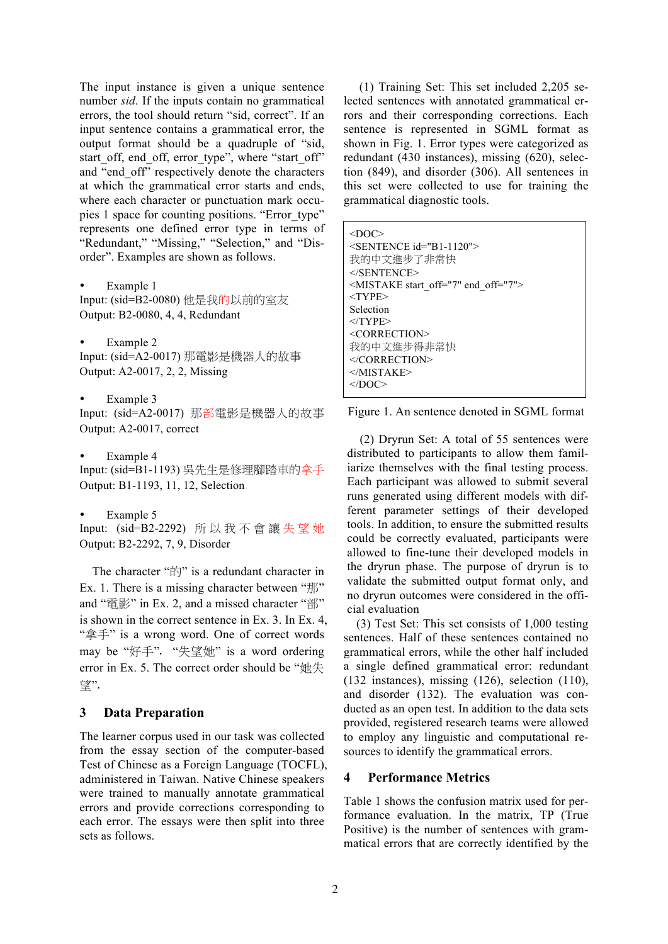The input instance is given a unique sentence number *sid*. If the inputs contain no grammatical errors, the tool should return "sid, correct". If an input sentence contains a grammatical error, the output format should be a quadruple of "sid, start off, end off, error type", where "start off" and "end\_off" respectively denote the characters at which the grammatical error starts and ends, where each character or punctuation mark occupies 1 space for counting positions. "Error\_type" represents one defined error type in terms of "Redundant," "Missing," "Selection," and "Disorder". Examples are shown as follows.

Example 1

Input: (sid=B2-0080) 他是我的以前的室友 Output: B2-0080, 4, 4, Redundant

Example 2 Input: (sid=A2-0017) 那電影是機器人的故事 Output: A2-0017, 2, 2, Missing

Example 3

Input: (sid=A2-0017) 那部電影是機器人的故事 Output: A2-0017, correct

Example 4

Input: (sid=B1-1193) 吳先生是修理腳踏車的拿手 Output: B1-1193, 11, 12, Selection

Example 5

Input: (sid=B2-2292) 所以我不會讓 失望她 Output: B2-2292, 7, 9, Disorder

The character "的" is a redundant character in Ex. 1. There is a missing character between "那" and "電影" in Ex. 2, and a missed character "部" is shown in the correct sentence in Ex. 3. In Ex. 4, "拿手" is a wrong word. One of correct words may be "好手". "失望她" is a word ordering error in Ex. 5. The correct order should be "她失 望".

## **3 Data Preparation**

The learner corpus used in our task was collected from the essay section of the computer-based Test of Chinese as a Foreign Language (TOCFL), administered in Taiwan. Native Chinese speakers were trained to manually annotate grammatical errors and provide corrections corresponding to each error. The essays were then split into three sets as follows.

(1) Training Set: This set included 2,205 selected sentences with annotated grammatical errors and their corresponding corrections. Each sentence is represented in SGML format as shown in Fig. 1. Error types were categorized as redundant (430 instances), missing (620), selection (849), and disorder (306). All sentences in this set were collected to use for training the grammatical diagnostic tools.

| <doc></doc>                               |
|-------------------------------------------|
| <sentence id="B1-1120"></sentence>        |
| 我的中文進步了非常快                                |
| $<$ /SENTENCE>                            |
| $\leq$ MISTAKE start off="7" end off="7"> |
| $<$ TYPE $>$                              |
| Selection                                 |
| $\langle$ TYPE>                           |
| $\leq$ CORRECTION>                        |
| 我的中文谁步得非常快                                |
| $\langle$ CORRECTION>                     |
| $<$ /MISTAKE>                             |
| $\langle$ DOC>                            |
|                                           |

Figure 1. An sentence denoted in SGML format

(2) Dryrun Set: A total of 55 sentences were distributed to participants to allow them familiarize themselves with the final testing process. Each participant was allowed to submit several runs generated using different models with different parameter settings of their developed tools. In addition, to ensure the submitted results could be correctly evaluated, participants were allowed to fine-tune their developed models in the dryrun phase. The purpose of dryrun is to validate the submitted output format only, and no dryrun outcomes were considered in the official evaluation

(3) Test Set: This set consists of 1,000 testing sentences. Half of these sentences contained no grammatical errors, while the other half included a single defined grammatical error: redundant (132 instances), missing (126), selection (110), and disorder (132). The evaluation was conducted as an open test. In addition to the data sets provided, registered research teams were allowed to employ any linguistic and computational resources to identify the grammatical errors.

## **4 Performance Metrics**

Table 1 shows the confusion matrix used for performance evaluation. In the matrix, TP (True Positive) is the number of sentences with grammatical errors that are correctly identified by the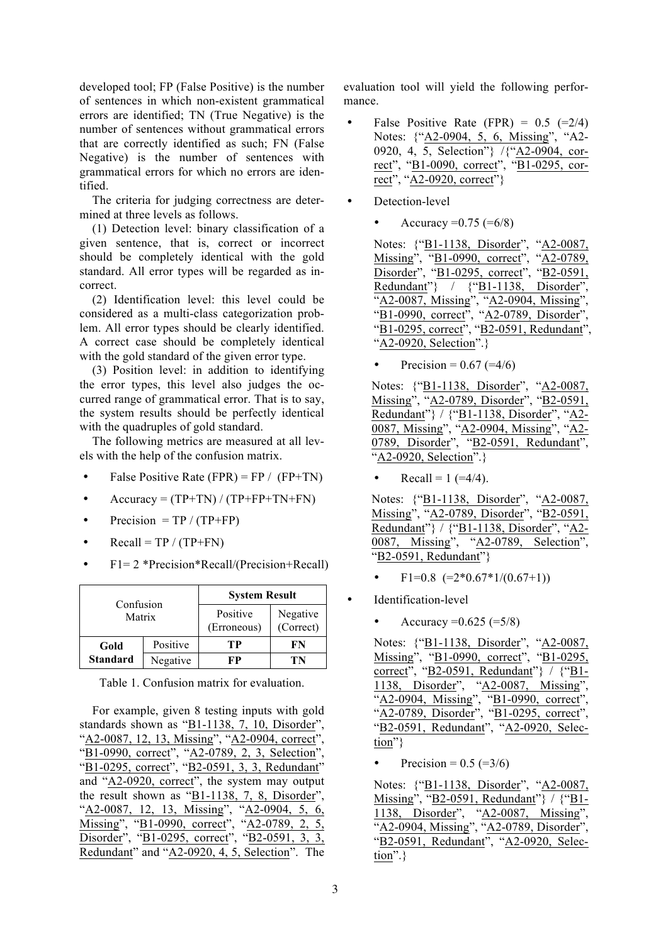developed tool; FP (False Positive) is the number of sentences in which non-existent grammatical errors are identified; TN (True Negative) is the number of sentences without grammatical errors that are correctly identified as such; FN (False Negative) is the number of sentences with grammatical errors for which no errors are identified.

The criteria for judging correctness are determined at three levels as follows.

(1) Detection level: binary classification of a given sentence, that is, correct or incorrect should be completely identical with the gold standard. All error types will be regarded as incorrect.

(2) Identification level: this level could be considered as a multi-class categorization problem. All error types should be clearly identified. A correct case should be completely identical with the gold standard of the given error type.

(3) Position level: in addition to identifying the error types, this level also judges the occurred range of grammatical error. That is to say, the system results should be perfectly identical with the quadruples of gold standard.

The following metrics are measured at all levels with the help of the confusion matrix.

- False Positive Rate (FPR) = FP / (FP+TN)
- Accuracy =  $(TP+TN) / (TP+FP+TN+FN)$
- Precision = TP /  $(TP+FP)$
- Recall = TP /  $(TP+FN)$
- F1= 2 \*Precision\*Recall/(Precision+Recall)

| Confusion       |          | <b>System Result</b>    |                       |
|-----------------|----------|-------------------------|-----------------------|
| Matrix          |          | Positive<br>(Erroneous) | Negative<br>(Correct) |
| Gold            | Positive | TР                      | FN                    |
| <b>Standard</b> | Negative | FР                      | ľN                    |

Table 1. Confusion matrix for evaluation.

For example, given 8 testing inputs with gold standards shown as "B1-1138, 7, 10, Disorder", "A2-0087, 12, 13, Missing", "A2-0904, correct", "B1-0990, correct", "A2-0789, 2, 3, Selection" "B1-0295, correct", "B2-0591, 3, 3, Redundant" and "A2-0920, correct", the system may output the result shown as "B1-1138, 7, 8, Disorder", "A2-0087, 12, 13, Missing", "A2-0904, 5, 6, Missing", "B1-0990, correct", "A2-0789, 2, 5, Disorder", "B1-0295, correct", "B2-0591, 3, 3, Redundant" and "A2-0920, 4, 5, Selection". The

evaluation tool will yield the following performance.

- False Positive Rate (FPR) =  $0.5$  (=2/4) Notes: {"A2-0904, 5, 6, Missing", "A2-0920, 4, 5, Selection"} /{"A2-0904, correct", "B1-0090, correct", "B1-0295, correct", "A2-0920, correct"}
- Detection-level
	- Accuracy  $=0.75$  ( $=6/8$ )

Notes: {"B1-1138, Disorder", "A2-0087, Missing", "B1-0990, correct", "A2-0789, Disorder", "B1-0295, correct", "B2-0591, Redundant"} / {"B1-1138, Disorder", "A2-0087, Missing", "A2-0904, Missing", "B1-0990, correct", "A2-0789, Disorder", "B1-0295, correct", "B2-0591, Redundant". "A2-0920, Selection".}

Notes: {"B1-1138, Disorder", "A2-0087, Missing", "A2-0789, Disorder", "B2-0591, Redundant"} / {"B1-1138, Disorder", "A2-0087, Missing", "A2-0904, Missing", "A2- 0789, Disorder", "B2-0591, Redundant", "A2-0920, Selection".}

Recall =  $1 (=4/4)$ .

Notes: {"B1-1138, Disorder", "A2-0087, Missing", "A2-0789, Disorder", "B2-0591, Redundant"} / {"B1-1138, Disorder", "A2-0087, Missing", "A2-0789, Selection", "B2-0591, Redundant"}

- $F1=0.8$   $(=2*0.67*1/(0.67+1))$
- Identification-level
	- Accuracy =  $0.625 (=5/8)$

Notes: {"B1-1138, Disorder", "A2-0087, Missing", "B1-0990, correct", "B1-0295, correct", "B2-0591, Redundant"} / {"B1- 1138, Disorder", "A2-0087, Missing", "A2-0904, Missing", "B1-0990, correct", "A2-0789, Disorder", "B1-0295, correct", "B2-0591, Redundant", "A2-0920, Selection"}

Precision =  $0.5$  (= $3/6$ )

Notes: {"B1-1138, Disorder", "A2-0087, Missing", "B2-0591, Redundant"} / {"B1- 1138, Disorder", "A2-0087, Missing", "A2-0904, Missing", "A2-0789, Disorder", "B2-0591, Redundant", "A2-0920, Selection".}

Precision =  $0.67$  (=4/6)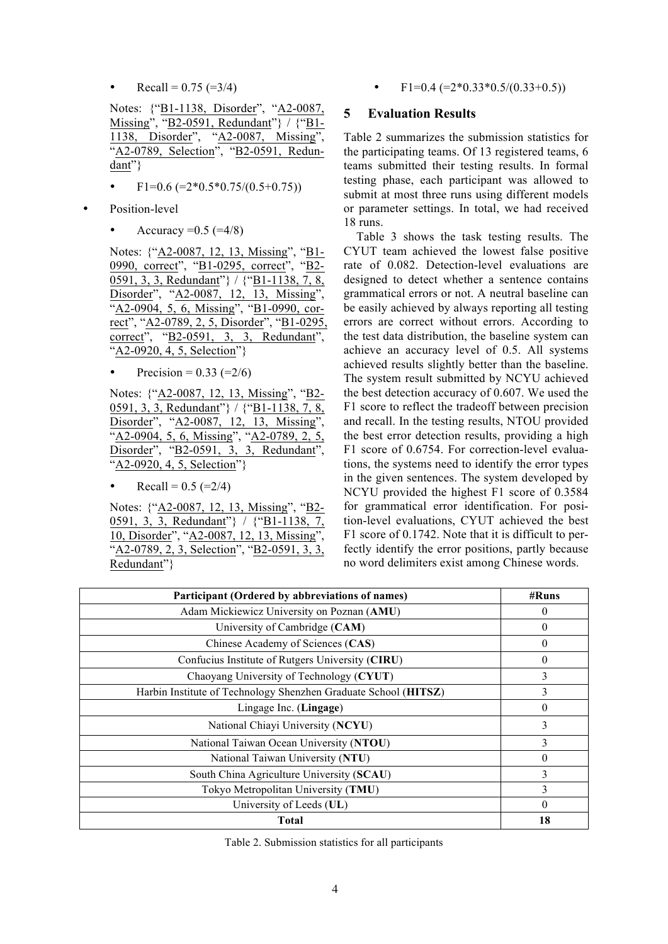Recall =  $0.75$  (=3/4)

Notes: {"B1-1138, Disorder", "A2-0087, Missing", "B2-0591, Redundant"} / {"B1- 1138, Disorder", "A2-0087, Missing", "A2-0789, Selection", "B2-0591, Redundant"}

- $F1=0.6$  ( $=2*0.5*0.75/(0.5+0.75)$ )
- Position-level
	- Accuracy  $= 0.5$  ( $= 4/8$ )

Notes: {"A2-0087, 12, 13, Missing", "B1- 0990, correct", "B1-0295, correct", "B2- 0591, 3, 3, Redundant"} / {"B1-1138, 7, 8, Disorder", "A2-0087, 12, 13, Missing", "A2-0904, 5, 6, Missing", "B1-0990, correct", "A2-0789, 2, 5, Disorder", "B1-0295, correct", "B2-0591, 3, 3, Redundant", "A2-0920, 4, 5, Selection"}

Precision =  $0.33$  (= $2/6$ )

Notes: {"A2-0087, 12, 13, Missing", "B2- 0591, 3, 3, Redundant"} / {"B1-1138, 7, 8, Disorder", "A2-0087, 12, 13, Missing", "A2-0904, 5, 6, Missing", "A2-0789, 2, 5, Disorder", "B2-0591, 3, 3, Redundant", "A2-0920, 4, 5, Selection"}

• Recall = 
$$
0.5
$$
 (=2/4)

Notes: {"A2-0087, 12, 13, Missing", "B2- 0591, 3, 3, Redundant"} / {"B1-1138, 7, 10, Disorder", "A2-0087, 12, 13, Missing", "A2-0789, 2, 3, Selection", "B2-0591, 3, 3, Redundant"}

• F1=0.4 (= $2*0.33*0.5/(0.33+0.5)$ )

#### **5 Evaluation Results**

Table 2 summarizes the submission statistics for the participating teams. Of 13 registered teams, 6 teams submitted their testing results. In formal testing phase, each participant was allowed to submit at most three runs using different models or parameter settings. In total, we had received 18 runs.

Table 3 shows the task testing results. The CYUT team achieved the lowest false positive rate of 0.082. Detection-level evaluations are designed to detect whether a sentence contains grammatical errors or not. A neutral baseline can be easily achieved by always reporting all testing errors are correct without errors. According to the test data distribution, the baseline system can achieve an accuracy level of 0.5. All systems achieved results slightly better than the baseline. The system result submitted by NCYU achieved the best detection accuracy of 0.607. We used the F1 score to reflect the tradeoff between precision and recall. In the testing results, NTOU provided the best error detection results, providing a high F1 score of 0.6754. For correction-level evaluations, the systems need to identify the error types in the given sentences. The system developed by NCYU provided the highest F1 score of 0.3584 for grammatical error identification. For position-level evaluations, CYUT achieved the best F1 score of 0.1742. Note that it is difficult to perfectly identify the error positions, partly because no word delimiters exist among Chinese words.

| Participant (Ordered by abbreviations of names)                 | #Runs    |
|-----------------------------------------------------------------|----------|
| Adam Mickiewicz University on Poznan (AMU)                      | $\theta$ |
| University of Cambridge (CAM)                                   | $\theta$ |
| Chinese Academy of Sciences (CAS)                               | $\Omega$ |
| Confucius Institute of Rutgers University (CIRU)                | $\theta$ |
| Chaoyang University of Technology (CYUT)                        |          |
| Harbin Institute of Technology Shenzhen Graduate School (HITSZ) | 3        |
| Lingage Inc. (Lingage)                                          | $\Omega$ |
| National Chiayi University (NCYU)                               | 3        |
| National Taiwan Ocean University (NTOU)                         | 3        |
| National Taiwan University (NTU)                                | $\Omega$ |
| South China Agriculture University (SCAU)                       | 3        |
| Tokyo Metropolitan University (TMU)                             | 3        |
| University of Leeds (UL)                                        | $\theta$ |
| Total                                                           | 18       |

Table 2. Submission statistics for all participants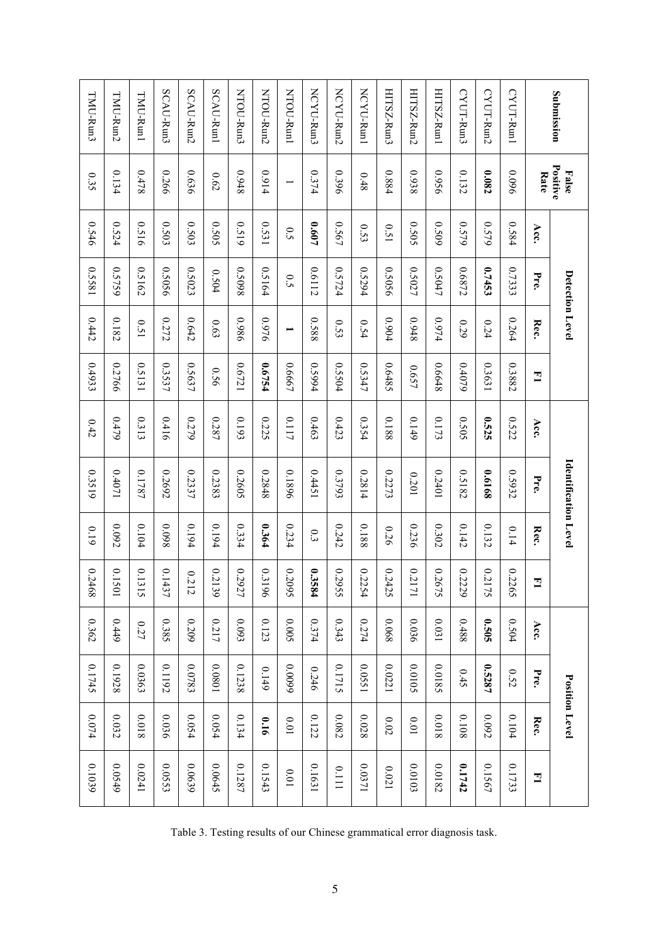| Submission            | Positive<br><b>False</b> |       | Detection Level |                          |        |       | Identification Level |               |                         |               |        | <b>Position Level</b> |        |
|-----------------------|--------------------------|-------|-----------------|--------------------------|--------|-------|----------------------|---------------|-------------------------|---------------|--------|-----------------------|--------|
|                       | Rate                     | Acc.  | Pre.            | Rec.                     | 그      | Acc.  | Pre                  | Rec.          | 그                       | Acc.          | Pre.   | Rec.                  | 그      |
| CYUT-Run1             | 960'0                    | 0.584 | 0.7333          | 0.264                    | 0.3882 | 0.522 | 0.5932               | 0.14          | 0.2265                  | 0.504         | 0.52   | 0.104                 | 0.1733 |
| CYUT-Run2             | 0.082                    | 0.579 | 0.7453          | 0.24                     | 0.3631 | 0.525 | 8919'0               | 0.132         | 0.2<br>175              | 0.505         | 0.5287 | 0.092                 | 0.1567 |
| CYUT-Run <sup>3</sup> | 0.132                    | 0.579 | 0.6872          | 0.29                     | 0.4079 | 0.505 | 0.5182               | 0.142         | 0.2<br>229              | 8870          | 0.45   | 0.108                 | 0.1742 |
| HITSZ-Run1            | 9560                     | 0.509 | 0.5047          | 0.974                    | 0.6648 | 0.173 | 10770                | 0.302         | 0.2<br>575              | 0.031         | 2.0185 | 81000                 | 0.0182 |
| HITSZ-Run2            | 8860                     | 5050  | 0.5027          | 8760                     | 159.0  | 0.149 | 0.201                | 0.236         | 0.2<br>171              | 0.036         | 2010.0 | 10.01                 | 0.0103 |
| HITSZ-Run3            | 0.884                    | 150   | 0.5056          | 0.904                    | 0.6485 | 0.188 | 0.2273               | 0.26          | 0.2<br>425              | 89000         | 0.0221 | $0.02\,$              | 0.021  |
| NCYU-Run1             | 0.48                     | 0.53  | 0.5294          | 0.54                     | 0.5347 | 0.354 | 0.2814               | 0.188         | 0.2<br>254              | 1774          | 0.0551 | 0.028                 | 1750.0 |
| NCYU-Run2             | 0.396                    | 0.567 | 0.5724          | 0.53                     | 0.5504 | 0.423 | 0.3793               | 0.242         | 0.2<br>556              | 0.343         | 0.1715 | 0.082                 | 0.111  |
| NCYU-Run3             | 0.374                    | 709.0 | 0.6112          | 0.588                    | 1.5994 | 0.463 | 15tt0                | $\frac{3}{3}$ | $\mathbf{c}$<br>584     | 0.374         | 0.246  | 0.122                 | 0.1631 |
| MTOU-Runl             | $\overline{\phantom{0}}$ | 0.5   | 0.5             | $\overline{\phantom{0}}$ | 0.6667 | 0.117 | 0.1896               | 0.234         | 0.2<br>560              | 5000          | 66000  | $10.0\,$              | 10.0   |
| NTOU-Run2             | 1600                     | 0.531 | 0.5164          | 976.0                    | 12/24  | 0.225 | 0.2848               | 0.364         | $\frac{3}{3}$<br>961    | 0.123         | 0.149  | 910                   | 0.1543 |
| <b>NTOU-Run3</b>      | 8760                     | 0.519 | 86030           | 9860                     | 0.6721 | 0.193 | 0.2605               | 0.334         | 0.2<br>727              | 6.093         | 0.1238 | 0.134                 | 0.1287 |
| SCAU-Run1             | 0.62                     | 0.505 | 0.504           | 6.63                     | 950    | 0.287 | 0.2383               | 0.194         | 0.2<br>139              | 0.217         | 10800  | 0.054                 | 0.0645 |
| SCAU-Run2             | 9£90                     | 0.503 | 0.5023          | 0.642                    | 0.5637 | 0.279 | 0.2337               | 0.194         | 0.212                   | 0.209         | 0.0783 | 0.054                 | 689000 |
| SCAU-Run3             | 0.266                    | 0.503 | 0.5056          | 0.272                    | 0.3537 | 0.416 | 0.2692               | 86000         | 0.1437                  | 0.385         | 0.1192 | 0.036                 | 0.0553 |
| TMU-Runl              | 0.478                    | 0.516 | 0.5162          | 0.51                     | 0.5131 | 0.313 | 0.1787               | 0.104         | $\overline{0.1}$<br>315 | $0.27\,$      | 0.0363 | 81000                 | 0.0241 |
| TMU-Run2              | 0.134                    | 0.524 | 0.5759          | 0.182                    | 0.2766 | 0.479 | 1/04/0               | 0.092         | $\overline{0.1}$<br>501 | $6t\bar{t}$ 0 | 0.1928 | 0.032                 | 0.0549 |
| TMU-Run3              | 0.35                     | 0.546 | 18550           | 0.442                    | 0.4933 | 0.42  | 0.3519               | 0.19          | 0.2<br>468              | 0.362         | 0.1745 | $0.074$               | 0.1039 |

Table 3. Testing results of our Chinese grammatical error diagnosis task.